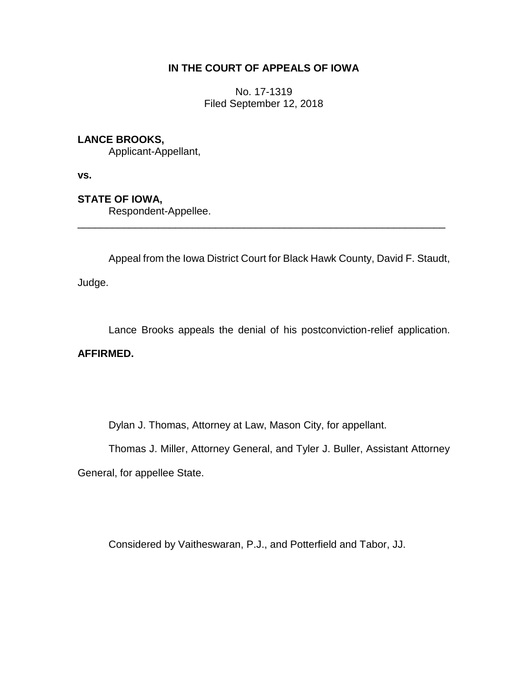# **IN THE COURT OF APPEALS OF IOWA**

No. 17-1319 Filed September 12, 2018

# **LANCE BROOKS,**

Applicant-Appellant,

**vs.**

# **STATE OF IOWA,**

Respondent-Appellee.

Appeal from the Iowa District Court for Black Hawk County, David F. Staudt,

\_\_\_\_\_\_\_\_\_\_\_\_\_\_\_\_\_\_\_\_\_\_\_\_\_\_\_\_\_\_\_\_\_\_\_\_\_\_\_\_\_\_\_\_\_\_\_\_\_\_\_\_\_\_\_\_\_\_\_\_\_\_\_\_

Judge.

Lance Brooks appeals the denial of his postconviction-relief application.

# **AFFIRMED.**

Dylan J. Thomas, Attorney at Law, Mason City, for appellant.

Thomas J. Miller, Attorney General, and Tyler J. Buller, Assistant Attorney

General, for appellee State.

Considered by Vaitheswaran, P.J., and Potterfield and Tabor, JJ.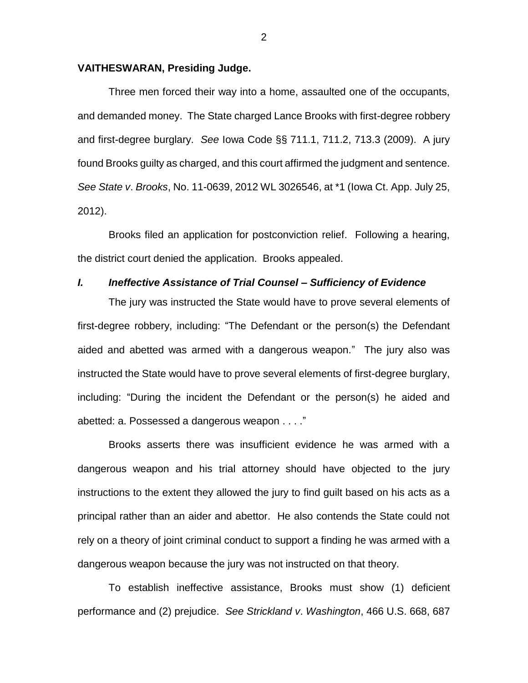### **VAITHESWARAN, Presiding Judge.**

Three men forced their way into a home, assaulted one of the occupants, and demanded money. The State charged Lance Brooks with first-degree robbery and first-degree burglary. *See* Iowa Code §§ 711.1, 711.2, 713.3 (2009). A jury found Brooks guilty as charged, and this court affirmed the judgment and sentence. *See State v*. *Brooks*, No. 11-0639, 2012 WL 3026546, at \*1 (Iowa Ct. App. July 25, 2012).

Brooks filed an application for postconviction relief. Following a hearing, the district court denied the application. Brooks appealed.

## *I. Ineffective Assistance of Trial Counsel – Sufficiency of Evidence*

The jury was instructed the State would have to prove several elements of first-degree robbery, including: "The Defendant or the person(s) the Defendant aided and abetted was armed with a dangerous weapon." The jury also was instructed the State would have to prove several elements of first-degree burglary, including: "During the incident the Defendant or the person(s) he aided and abetted: a. Possessed a dangerous weapon . . . ."

Brooks asserts there was insufficient evidence he was armed with a dangerous weapon and his trial attorney should have objected to the jury instructions to the extent they allowed the jury to find guilt based on his acts as a principal rather than an aider and abettor. He also contends the State could not rely on a theory of joint criminal conduct to support a finding he was armed with a dangerous weapon because the jury was not instructed on that theory.

To establish ineffective assistance, Brooks must show (1) deficient performance and (2) prejudice. *See Strickland v*. *Washington*, 466 U.S. 668, 687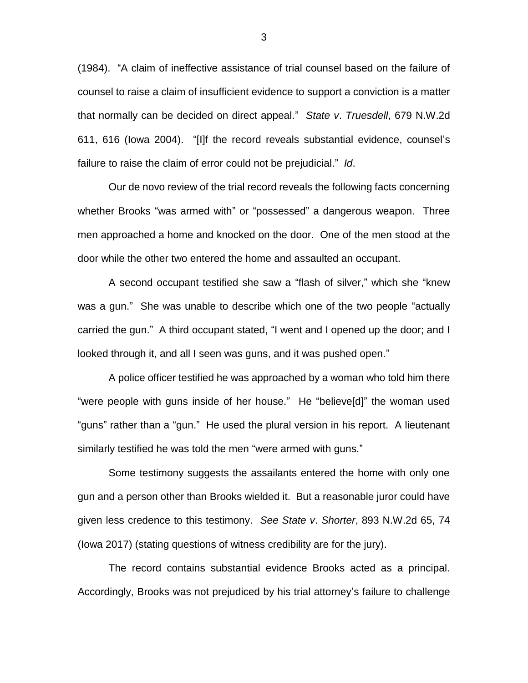(1984). "A claim of ineffective assistance of trial counsel based on the failure of counsel to raise a claim of insufficient evidence to support a conviction is a matter that normally can be decided on direct appeal." *State v*. *Truesdell*, 679 N.W.2d 611, 616 (Iowa 2004). "[I]f the record reveals substantial evidence, counsel's failure to raise the claim of error could not be prejudicial." *Id*.

Our de novo review of the trial record reveals the following facts concerning whether Brooks "was armed with" or "possessed" a dangerous weapon. Three men approached a home and knocked on the door. One of the men stood at the door while the other two entered the home and assaulted an occupant.

A second occupant testified she saw a "flash of silver," which she "knew was a gun." She was unable to describe which one of the two people "actually carried the gun." A third occupant stated, "I went and I opened up the door; and I looked through it, and all I seen was guns, and it was pushed open."

A police officer testified he was approached by a woman who told him there "were people with guns inside of her house." He "believe[d]" the woman used "guns" rather than a "gun." He used the plural version in his report. A lieutenant similarly testified he was told the men "were armed with guns."

Some testimony suggests the assailants entered the home with only one gun and a person other than Brooks wielded it. But a reasonable juror could have given less credence to this testimony. *See State v*. *Shorter*, 893 N.W.2d 65, 74 (Iowa 2017) (stating questions of witness credibility are for the jury).

The record contains substantial evidence Brooks acted as a principal. Accordingly, Brooks was not prejudiced by his trial attorney's failure to challenge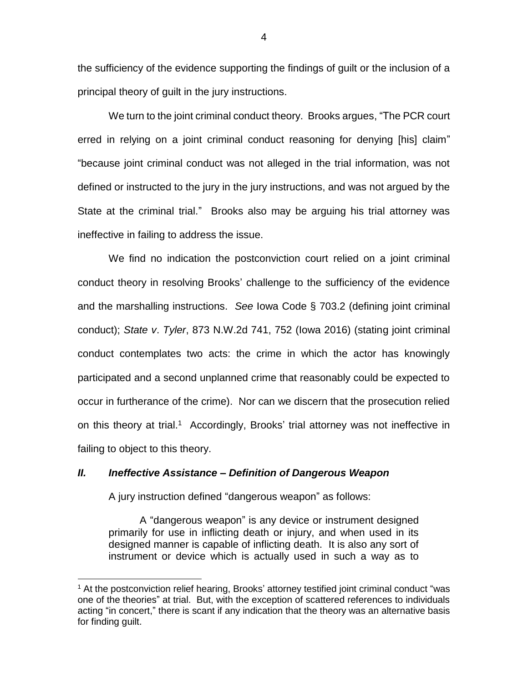the sufficiency of the evidence supporting the findings of guilt or the inclusion of a principal theory of guilt in the jury instructions.

We turn to the joint criminal conduct theory. Brooks argues, "The PCR court erred in relying on a joint criminal conduct reasoning for denying [his] claim" "because joint criminal conduct was not alleged in the trial information, was not defined or instructed to the jury in the jury instructions, and was not argued by the State at the criminal trial." Brooks also may be arguing his trial attorney was ineffective in failing to address the issue.

We find no indication the postconviction court relied on a joint criminal conduct theory in resolving Brooks' challenge to the sufficiency of the evidence and the marshalling instructions. *See* Iowa Code § 703.2 (defining joint criminal conduct); *State v*. *Tyler*, 873 N.W.2d 741, 752 (Iowa 2016) (stating joint criminal conduct contemplates two acts: the crime in which the actor has knowingly participated and a second unplanned crime that reasonably could be expected to occur in furtherance of the crime). Nor can we discern that the prosecution relied on this theory at trial.<sup>1</sup> Accordingly, Brooks' trial attorney was not ineffective in failing to object to this theory.

### *II. Ineffective Assistance – Definition of Dangerous Weapon*

A jury instruction defined "dangerous weapon" as follows:

 $\overline{a}$ 

A "dangerous weapon" is any device or instrument designed primarily for use in inflicting death or injury, and when used in its designed manner is capable of inflicting death. It is also any sort of instrument or device which is actually used in such a way as to

<sup>&</sup>lt;sup>1</sup> At the postconviction relief hearing, Brooks' attorney testified joint criminal conduct "was one of the theories" at trial. But, with the exception of scattered references to individuals acting "in concert," there is scant if any indication that the theory was an alternative basis for finding guilt.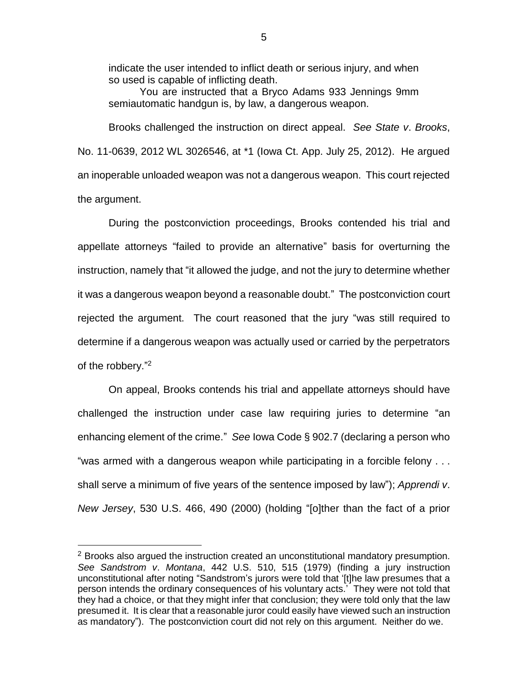indicate the user intended to inflict death or serious injury, and when so used is capable of inflicting death.

You are instructed that a Bryco Adams 933 Jennings 9mm semiautomatic handgun is, by law, a dangerous weapon.

Brooks challenged the instruction on direct appeal. *See State v*. *Brooks*, No. 11-0639, 2012 WL 3026546, at \*1 (Iowa Ct. App. July 25, 2012). He argued an inoperable unloaded weapon was not a dangerous weapon. This court rejected the argument.

 During the postconviction proceedings, Brooks contended his trial and appellate attorneys "failed to provide an alternative" basis for overturning the instruction, namely that "it allowed the judge, and not the jury to determine whether it was a dangerous weapon beyond a reasonable doubt." The postconviction court rejected the argument. The court reasoned that the jury "was still required to determine if a dangerous weapon was actually used or carried by the perpetrators of the robbery."<sup>2</sup>

On appeal, Brooks contends his trial and appellate attorneys should have challenged the instruction under case law requiring juries to determine "an enhancing element of the crime." *See* Iowa Code § 902.7 (declaring a person who "was armed with a dangerous weapon while participating in a forcible felony . . . shall serve a minimum of five years of the sentence imposed by law"); *Apprendi v*. *New Jersey*, 530 U.S. 466, 490 (2000) (holding "[o]ther than the fact of a prior

 $\overline{a}$ 

 $2$  Brooks also argued the instruction created an unconstitutional mandatory presumption. *See Sandstrom v*. *Montana*, 442 U.S. 510, 515 (1979) (finding a jury instruction unconstitutional after noting "Sandstrom's jurors were told that '[t]he law presumes that a person intends the ordinary consequences of his voluntary acts.' They were not told that they had a choice, or that they might infer that conclusion; they were told only that the law presumed it. It is clear that a reasonable juror could easily have viewed such an instruction as mandatory"). The postconviction court did not rely on this argument. Neither do we.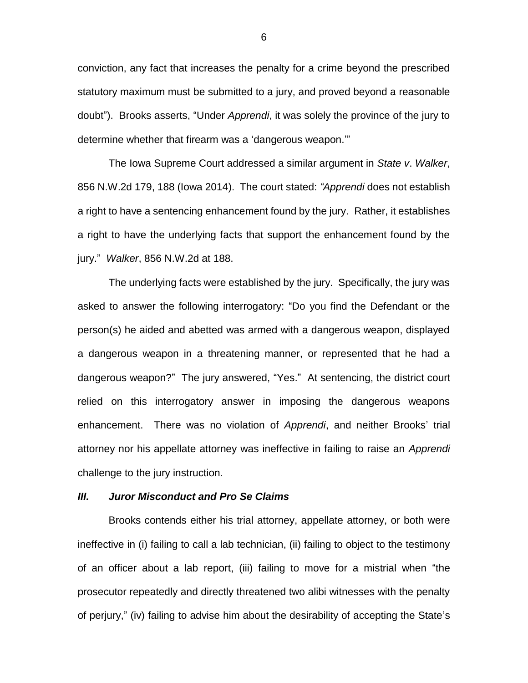conviction, any fact that increases the penalty for a crime beyond the prescribed statutory maximum must be submitted to a jury, and proved beyond a reasonable doubt").Brooks asserts, "Under *Apprendi*, it was solely the province of the jury to determine whether that firearm was a 'dangerous weapon.'"

The Iowa Supreme Court addressed a similar argument in *State v*. *Walker*, 856 N.W.2d 179, 188 (Iowa 2014). The court stated: *"Apprendi* does not establish a right to have a sentencing enhancement found by the jury. Rather, it establishes a right to have the underlying facts that support the enhancement found by the jury." *Walker*, 856 N.W.2d at 188.

The underlying facts were established by the jury. Specifically, the jury was asked to answer the following interrogatory: "Do you find the Defendant or the person(s) he aided and abetted was armed with a dangerous weapon, displayed a dangerous weapon in a threatening manner, or represented that he had a dangerous weapon?" The jury answered, "Yes." At sentencing, the district court relied on this interrogatory answer in imposing the dangerous weapons enhancement. There was no violation of *Apprendi*, and neither Brooks' trial attorney nor his appellate attorney was ineffective in failing to raise an *Apprendi* challenge to the jury instruction.

#### *III. Juror Misconduct and Pro Se Claims*

Brooks contends either his trial attorney, appellate attorney, or both were ineffective in (i) failing to call a lab technician, (ii) failing to object to the testimony of an officer about a lab report, (iii) failing to move for a mistrial when "the prosecutor repeatedly and directly threatened two alibi witnesses with the penalty of perjury," (iv) failing to advise him about the desirability of accepting the State's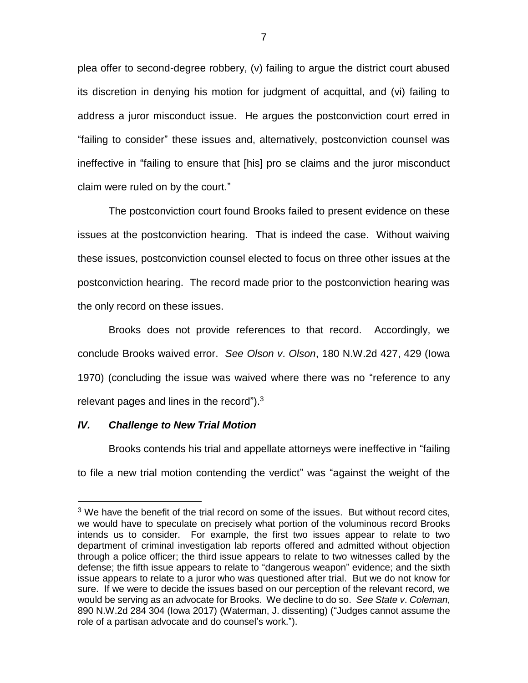plea offer to second-degree robbery, (v) failing to argue the district court abused its discretion in denying his motion for judgment of acquittal, and (vi) failing to address a juror misconduct issue. He argues the postconviction court erred in "failing to consider" these issues and, alternatively, postconviction counsel was ineffective in "failing to ensure that [his] pro se claims and the juror misconduct claim were ruled on by the court."

The postconviction court found Brooks failed to present evidence on these issues at the postconviction hearing. That is indeed the case. Without waiving these issues, postconviction counsel elected to focus on three other issues at the postconviction hearing. The record made prior to the postconviction hearing was the only record on these issues.

Brooks does not provide references to that record. Accordingly, we conclude Brooks waived error. *See Olson v*. *Olson*, 180 N.W.2d 427, 429 (Iowa 1970) (concluding the issue was waived where there was no "reference to any relevant pages and lines in the record"). $3$ 

## *IV. Challenge to New Trial Motion*

 $\overline{a}$ 

Brooks contends his trial and appellate attorneys were ineffective in "failing to file a new trial motion contending the verdict" was "against the weight of the

<sup>&</sup>lt;sup>3</sup> We have the benefit of the trial record on some of the issues. But without record cites, we would have to speculate on precisely what portion of the voluminous record Brooks intends us to consider. For example, the first two issues appear to relate to two department of criminal investigation lab reports offered and admitted without objection through a police officer; the third issue appears to relate to two witnesses called by the defense; the fifth issue appears to relate to "dangerous weapon" evidence; and the sixth issue appears to relate to a juror who was questioned after trial. But we do not know for sure. If we were to decide the issues based on our perception of the relevant record, we would be serving as an advocate for Brooks. We decline to do so. *See State v*. *Coleman*, 890 N.W.2d 284 304 (Iowa 2017) (Waterman, J. dissenting) ("Judges cannot assume the role of a partisan advocate and do counsel's work.").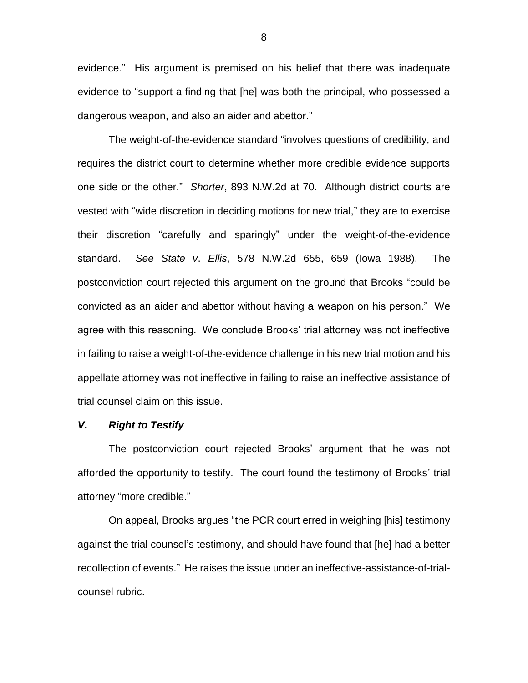evidence." His argument is premised on his belief that there was inadequate evidence to "support a finding that [he] was both the principal, who possessed a dangerous weapon, and also an aider and abettor."

The weight-of-the-evidence standard "involves questions of credibility, and requires the district court to determine whether more credible evidence supports one side or the other." *Shorter*, 893 N.W.2d at 70. Although district courts are vested with "wide discretion in deciding motions for new trial," they are to exercise their discretion "carefully and sparingly" under the weight-of-the-evidence standard. *See State v*. *Ellis*, 578 N.W.2d 655, 659 (Iowa 1988). The postconviction court rejected this argument on the ground that Brooks "could be convicted as an aider and abettor without having a weapon on his person." We agree with this reasoning. We conclude Brooks' trial attorney was not ineffective in failing to raise a weight-of-the-evidence challenge in his new trial motion and his appellate attorney was not ineffective in failing to raise an ineffective assistance of trial counsel claim on this issue.

## *V***.** *Right to Testify*

The postconviction court rejected Brooks' argument that he was not afforded the opportunity to testify. The court found the testimony of Brooks' trial attorney "more credible."

On appeal, Brooks argues "the PCR court erred in weighing [his] testimony against the trial counsel's testimony, and should have found that [he] had a better recollection of events." He raises the issue under an ineffective-assistance-of-trialcounsel rubric.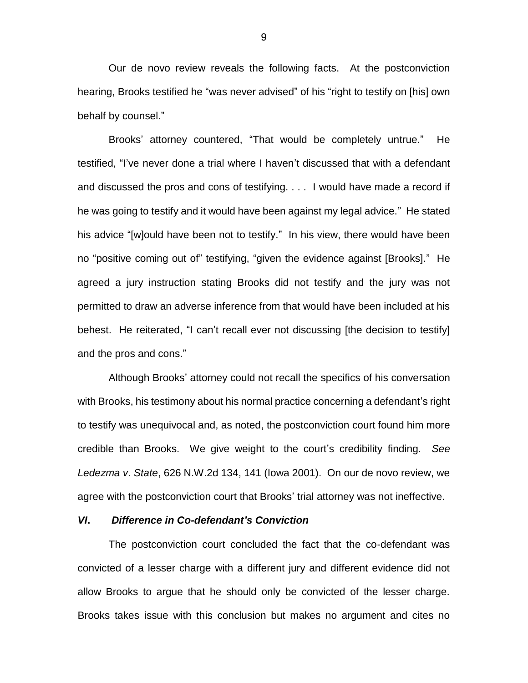Our de novo review reveals the following facts. At the postconviction hearing, Brooks testified he "was never advised" of his "right to testify on [his] own behalf by counsel."

Brooks' attorney countered, "That would be completely untrue." He testified, "I've never done a trial where I haven't discussed that with a defendant and discussed the pros and cons of testifying. . . . I would have made a record if he was going to testify and it would have been against my legal advice." He stated his advice "[w]ould have been not to testify." In his view, there would have been no "positive coming out of" testifying, "given the evidence against [Brooks]." He agreed a jury instruction stating Brooks did not testify and the jury was not permitted to draw an adverse inference from that would have been included at his behest. He reiterated, "I can't recall ever not discussing [the decision to testify] and the pros and cons."

Although Brooks' attorney could not recall the specifics of his conversation with Brooks, his testimony about his normal practice concerning a defendant's right to testify was unequivocal and, as noted, the postconviction court found him more credible than Brooks. We give weight to the court's credibility finding. *See Ledezma v*. *State*, 626 N.W.2d 134, 141 (Iowa 2001). On our de novo review, we agree with the postconviction court that Brooks' trial attorney was not ineffective.

### *VI***.** *Difference in Co-defendant's Conviction*

The postconviction court concluded the fact that the co-defendant was convicted of a lesser charge with a different jury and different evidence did not allow Brooks to argue that he should only be convicted of the lesser charge. Brooks takes issue with this conclusion but makes no argument and cites no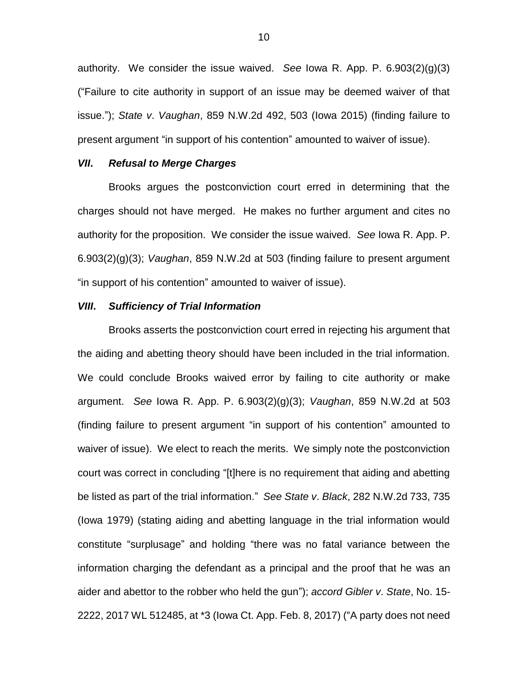authority. We consider the issue waived. *See* Iowa R. App. P. 6.903(2)(g)(3) ("Failure to cite authority in support of an issue may be deemed waiver of that issue."); *State v*. *Vaughan*, 859 N.W.2d 492, 503 (Iowa 2015) (finding failure to present argument "in support of his contention" amounted to waiver of issue).

## *VII***.** *Refusal to Merge Charges*

Brooks argues the postconviction court erred in determining that the charges should not have merged. He makes no further argument and cites no authority for the proposition. We consider the issue waived. *See* Iowa R. App. P. 6.903(2)(g)(3); *Vaughan*, 859 N.W.2d at 503 (finding failure to present argument "in support of his contention" amounted to waiver of issue).

#### *VIII***.** *Sufficiency of Trial Information*

Brooks asserts the postconviction court erred in rejecting his argument that the aiding and abetting theory should have been included in the trial information. We could conclude Brooks waived error by failing to cite authority or make argument. *See* Iowa R. App. P. 6.903(2)(g)(3); *Vaughan*, 859 N.W.2d at 503 (finding failure to present argument "in support of his contention" amounted to waiver of issue). We elect to reach the merits. We simply note the postconviction court was correct in concluding "[t]here is no requirement that aiding and abetting be listed as part of the trial information." *See State v*. *Black*, 282 N.W.2d 733, 735 (Iowa 1979) (stating aiding and abetting language in the trial information would constitute "surplusage" and holding "there was no fatal variance between the information charging the defendant as a principal and the proof that he was an aider and abettor to the robber who held the gun"); *accord Gibler v*. *State*, No. 15- 2222, 2017 WL 512485, at \*3 (Iowa Ct. App. Feb. 8, 2017) ("A party does not need